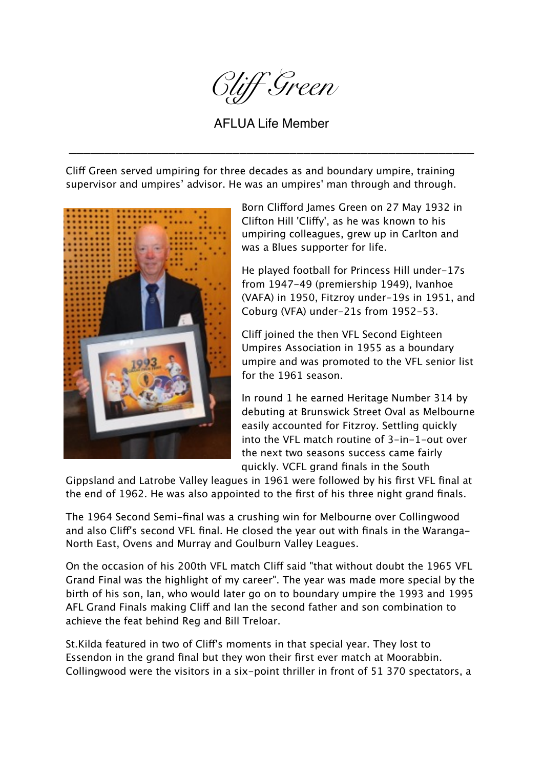

AFLUA Life Member

\_\_\_\_\_\_\_\_\_\_\_\_\_\_\_\_\_\_\_\_\_\_\_\_\_\_\_\_\_\_\_\_\_\_\_\_\_\_\_\_\_\_\_\_\_\_\_\_\_\_\_\_\_\_\_\_\_

Cliff Green served umpiring for three decades as and boundary umpire, training supervisor and umpires' advisor. He was an umpires' man through and through.



Born Cliford James Green on 27 May 1932 in Clifton Hill 'Clify', as he was known to his umpiring colleagues, grew up in Carlton and was a Blues supporter for life.

He played football for Princess Hill under-17s from 1947-49 (premiership 1949), Ivanhoe (VAFA) in 1950, Fitzroy under-19s in 1951, and Coburg (VFA) under-21s from 1952-53.

Cliff joined the then VFL Second Eighteen Umpires Association in 1955 as a boundary umpire and was promoted to the VFL senior list for the 1961 season.

In round 1 he earned Heritage Number 314 by debuting at Brunswick Street Oval as Melbourne easily accounted for Fitzroy. Settling quickly into the VFL match routine of 3-in-1-out over the next two seasons success came fairly quickly. VCFL grand finals in the South

Gippsland and Latrobe Valley leagues in 1961 were followed by his first VFL final at the end of 1962. He was also appointed to the first of his three night grand finals.

The 1964 Second Semi-final was a crushing win for Melbourne over Collingwood and also Clif's second VFL final. He closed the year out with finals in the Waranga-North East, Ovens and Murray and Goulburn Valley Leagues.

On the occasion of his 200th VFL match Clif said "that without doubt the 1965 VFL Grand Final was the highlight of my career". The year was made more special by the birth of his son, Ian, who would later go on to boundary umpire the 1993 and 1995 AFL Grand Finals making Clif and Ian the second father and son combination to achieve the feat behind Reg and Bill Treloar.

St.Kilda featured in two of Clif's moments in that special year. They lost to Essendon in the grand final but they won their first ever match at Moorabbin. Collingwood were the visitors in a six-point thriller in front of 51 370 spectators, a